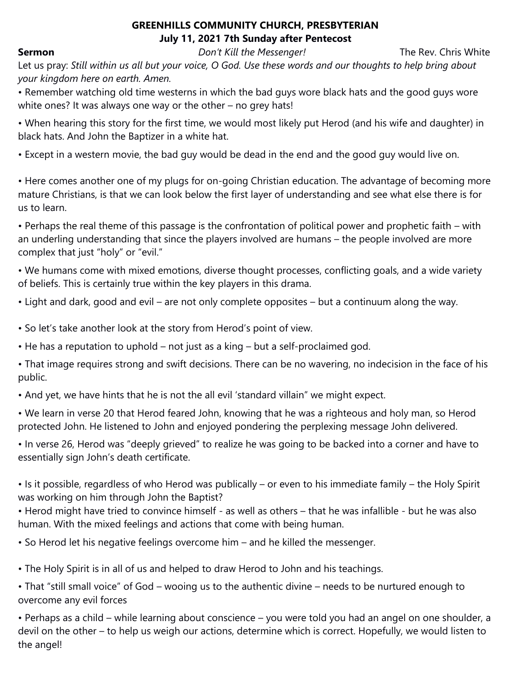## **GREENHILLS COMMUNITY CHURCH, PRESBYTERIAN July 11, 2021 7th Sunday after Pentecost**

**Sermon** *Don't Kill the Messenger!* The Rev. Chris White

Let us pray: *Still within us all but your voice, O God. Use these words and our thoughts to help bring about your kingdom here on earth. Amen.* 

• Remember watching old time westerns in which the bad guys wore black hats and the good guys wore white ones? It was always one way or the other – no grey hats!

• When hearing this story for the first time, we would most likely put Herod (and his wife and daughter) in black hats. And John the Baptizer in a white hat.

• Except in a western movie, the bad guy would be dead in the end and the good guy would live on.

• Here comes another one of my plugs for on-going Christian education. The advantage of becoming more mature Christians, is that we can look below the first layer of understanding and see what else there is for us to learn.

• Perhaps the real theme of this passage is the confrontation of political power and prophetic faith – with an underling understanding that since the players involved are humans – the people involved are more complex that just "holy" or "evil."

• We humans come with mixed emotions, diverse thought processes, conflicting goals, and a wide variety of beliefs. This is certainly true within the key players in this drama.

• Light and dark, good and evil – are not only complete opposites – but a continuum along the way.

• So let's take another look at the story from Herod's point of view.

• He has a reputation to uphold – not just as a king – but a self-proclaimed god.

• That image requires strong and swift decisions. There can be no wavering, no indecision in the face of his public.

• And yet, we have hints that he is not the all evil 'standard villain" we might expect.

• We learn in verse 20 that Herod feared John, knowing that he was a righteous and holy man, so Herod protected John. He listened to John and enjoyed pondering the perplexing message John delivered.

• In verse 26, Herod was "deeply grieved" to realize he was going to be backed into a corner and have to essentially sign John's death certificate.

• Is it possible, regardless of who Herod was publically – or even to his immediate family – the Holy Spirit was working on him through John the Baptist?

• Herod might have tried to convince himself - as well as others – that he was infallible - but he was also human. With the mixed feelings and actions that come with being human.

• So Herod let his negative feelings overcome him – and he killed the messenger.

• The Holy Spirit is in all of us and helped to draw Herod to John and his teachings.

• That "still small voice" of God – wooing us to the authentic divine – needs to be nurtured enough to overcome any evil forces

• Perhaps as a child – while learning about conscience – you were told you had an angel on one shoulder, a devil on the other – to help us weigh our actions, determine which is correct. Hopefully, we would listen to the angel!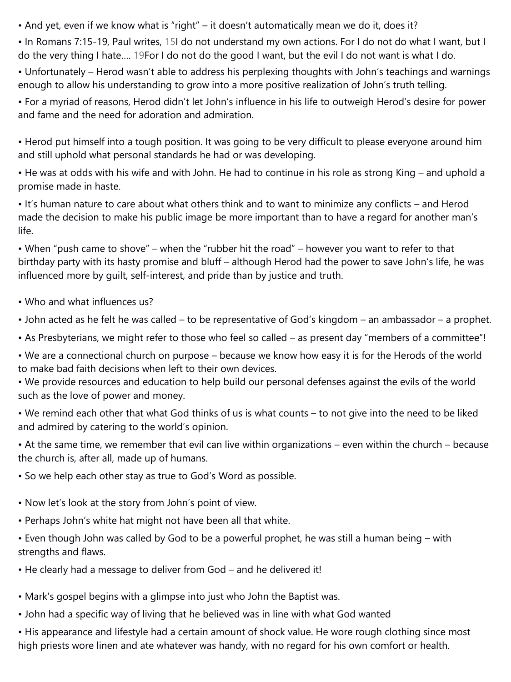• And yet, even if we know what is "right" – it doesn't automatically mean we do it, does it?

• In Romans 7:15-19, Paul writes, 15I do not understand my own actions. For I do not do what I want, but I do the very thing I hate…. 19For I do not do the good I want, but the evil I do not want is what I do.

• Unfortunately – Herod wasn't able to address his perplexing thoughts with John's teachings and warnings enough to allow his understanding to grow into a more positive realization of John's truth telling.

• For a myriad of reasons, Herod didn't let John's influence in his life to outweigh Herod's desire for power and fame and the need for adoration and admiration.

• Herod put himself into a tough position. It was going to be very difficult to please everyone around him and still uphold what personal standards he had or was developing.

• He was at odds with his wife and with John. He had to continue in his role as strong King – and uphold a promise made in haste.

• It's human nature to care about what others think and to want to minimize any conflicts – and Herod made the decision to make his public image be more important than to have a regard for another man's life.

• When "push came to shove" – when the "rubber hit the road" – however you want to refer to that birthday party with its hasty promise and bluff – although Herod had the power to save John's life, he was influenced more by guilt, self-interest, and pride than by justice and truth.

- Who and what influences us?
- John acted as he felt he was called to be representative of God's kingdom an ambassador a prophet.
- As Presbyterians, we might refer to those who feel so called as present day "members of a committee"!

• We are a connectional church on purpose – because we know how easy it is for the Herods of the world to make bad faith decisions when left to their own devices.

• We provide resources and education to help build our personal defenses against the evils of the world such as the love of power and money.

• We remind each other that what God thinks of us is what counts – to not give into the need to be liked and admired by catering to the world's opinion.

• At the same time, we remember that evil can live within organizations – even within the church – because the church is, after all, made up of humans.

- So we help each other stay as true to God's Word as possible.
- Now let's look at the story from John's point of view.
- Perhaps John's white hat might not have been all that white.
- Even though John was called by God to be a powerful prophet, he was still a human being with strengths and flaws.
- He clearly had a message to deliver from God and he delivered it!
- Mark's gospel begins with a glimpse into just who John the Baptist was.
- John had a specific way of living that he believed was in line with what God wanted

• His appearance and lifestyle had a certain amount of shock value. He wore rough clothing since most high priests wore linen and ate whatever was handy, with no regard for his own comfort or health.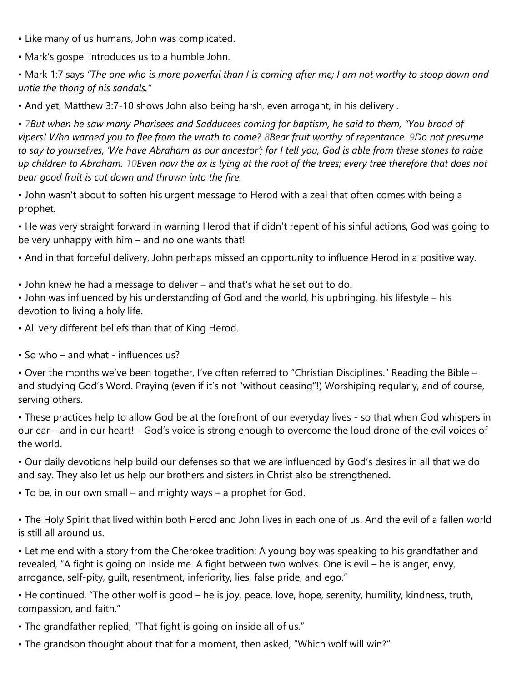- Like many of us humans, John was complicated.
- Mark's gospel introduces us to a humble John.

• Mark 1:7 says *"The one who is more powerful than I is coming after me; I am not worthy to stoop down and untie the thong of his sandals."* 

• And yet, Matthew 3:7-10 shows John also being harsh, even arrogant, in his delivery .

• *7But when he saw many Pharisees and Sadducees coming for baptism, he said to them, "You brood of vipers! Who warned you to flee from the wrath to come? 8Bear fruit worthy of repentance. 9Do not presume to say to yourselves, 'We have Abraham as our ancestor'; for I tell you, God is able from these stones to raise up children to Abraham. 10Even now the ax is lying at the root of the trees; every tree therefore that does not bear good fruit is cut down and thrown into the fire.* 

• John wasn't about to soften his urgent message to Herod with a zeal that often comes with being a prophet.

• He was very straight forward in warning Herod that if didn't repent of his sinful actions, God was going to be very unhappy with him – and no one wants that!

• And in that forceful delivery, John perhaps missed an opportunity to influence Herod in a positive way.

• John knew he had a message to deliver – and that's what he set out to do.

• John was influenced by his understanding of God and the world, his upbringing, his lifestyle – his devotion to living a holy life.

- All very different beliefs than that of King Herod.
- So who and what influences us?

• Over the months we've been together, I've often referred to "Christian Disciplines." Reading the Bible – and studying God's Word. Praying (even if it's not "without ceasing"!) Worshiping regularly, and of course, serving others.

• These practices help to allow God be at the forefront of our everyday lives - so that when God whispers in our ear – and in our heart! – God's voice is strong enough to overcome the loud drone of the evil voices of the world.

• Our daily devotions help build our defenses so that we are influenced by God's desires in all that we do and say. They also let us help our brothers and sisters in Christ also be strengthened.

• To be, in our own small – and mighty ways – a prophet for God.

• The Holy Spirit that lived within both Herod and John lives in each one of us. And the evil of a fallen world is still all around us.

• Let me end with a story from the Cherokee tradition: A young boy was speaking to his grandfather and revealed, "A fight is going on inside me. A fight between two wolves. One is evil – he is anger, envy, arrogance, self-pity, guilt, resentment, inferiority, lies, false pride, and ego."

• He continued, "The other wolf is good – he is joy, peace, love, hope, serenity, humility, kindness, truth, compassion, and faith."

- The grandfather replied, "That fight is going on inside all of us."
- The grandson thought about that for a moment, then asked, "Which wolf will win?"